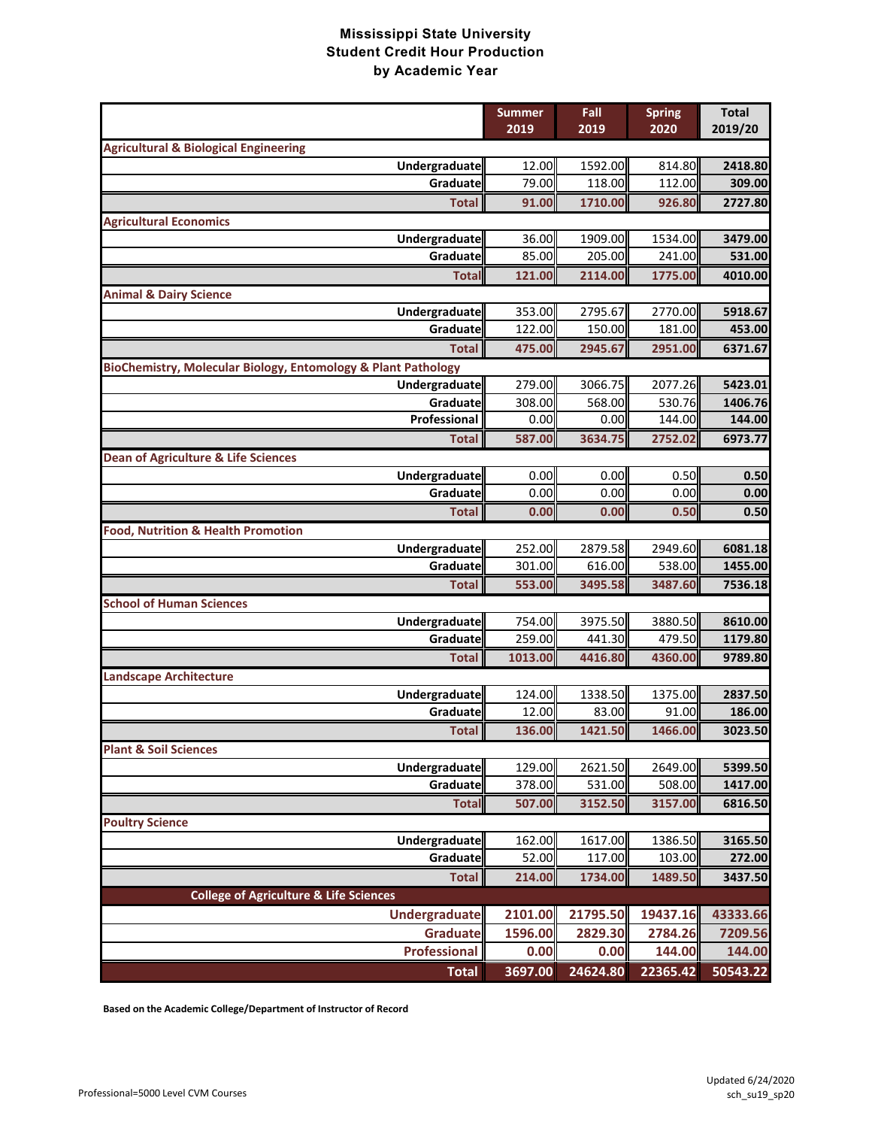|                                                               | <b>Summer</b><br>2019 | Fall<br>2019 | <b>Spring</b><br>2020 | <b>Total</b><br>2019/20 |
|---------------------------------------------------------------|-----------------------|--------------|-----------------------|-------------------------|
| <b>Agricultural &amp; Biological Engineering</b>              |                       |              |                       |                         |
| <b>Undergraduate</b>                                          | 12.00                 | 1592.00      | 814.80                | 2418.80                 |
| Graduate                                                      | 79.00                 | 118.00       | 112.00                | 309.00                  |
| <b>Total</b>                                                  | 91.00                 | 1710.00      | 926.80                | 2727.80                 |
| <b>Agricultural Economics</b>                                 |                       |              |                       |                         |
| Undergraduate                                                 | 36.00                 | 1909.00      | 1534.00               | 3479.00                 |
| Graduate                                                      | 85.00                 | 205.00       | 241.00                | 531.00                  |
| <b>Total</b>                                                  | 121.00                | 2114.00      | 1775.00               | 4010.00                 |
| <b>Animal &amp; Dairy Science</b>                             |                       |              |                       |                         |
| <b>Undergraduate</b>                                          | 353.00                | 2795.67      | 2770.00               | 5918.67                 |
| Graduate                                                      | 122.00                | 150.00       | 181.00                | 453.00                  |
| <b>Total</b>                                                  | 475.00                | 2945.67      | 2951.00               | 6371.67                 |
| BioChemistry, Molecular Biology, Entomology & Plant Pathology |                       |              |                       |                         |
| Undergraduate                                                 | 279.00                | 3066.75      | 2077.26               | 5423.01                 |
| Graduate                                                      | 308.00                | 568.00       | 530.76                | 1406.76                 |
| Professional                                                  | 0.00                  | 0.00         | 144.00                | 144.00                  |
| <b>Total</b>                                                  | 587.00                | 3634.75      | 2752.02               | 6973.77                 |
| <b>Dean of Agriculture &amp; Life Sciences</b>                |                       |              |                       |                         |
| Undergraduate<br>Graduate                                     | 0.00<br>0.00          | 0.00<br>0.00 | 0.50<br>0.00          | 0.50<br>0.00            |
| <b>Total</b>                                                  | 0.00                  | 0.00         | 0.50                  | 0.50                    |
| <b>Food, Nutrition &amp; Health Promotion</b>                 |                       |              |                       |                         |
| Undergraduate                                                 | 252.00                | 2879.58      | 2949.60               | 6081.18                 |
| Graduate                                                      | 301.00                | 616.00       | 538.00                | 1455.00                 |
| <b>Total</b>                                                  | 553.00                | 3495.58      | 3487.60               | 7536.18                 |
| <b>School of Human Sciences</b>                               |                       |              |                       |                         |
| Undergraduate                                                 | 754.00                | 3975.50      | 3880.50               | 8610.00                 |
| Graduate                                                      | 259.00                | 441.30       | 479.50                | 1179.80                 |
| <b>Total</b>                                                  | 1013.00               | 4416.80      | 4360.00               | 9789.80                 |
| <b>Landscape Architecture</b>                                 |                       |              |                       |                         |
| Undergraduate                                                 | 124.00                | 1338.50      | 1375.00               | 2837.50                 |
| Graduate                                                      | 12.00                 | 83.00        | 91.00                 | 186.00                  |
| <b>Total</b>                                                  | 136.00                | 1421.50      | 1466.00               | 3023.50                 |
| <b>Plant &amp; Soil Sciences</b>                              |                       |              |                       |                         |
| Undergraduate                                                 | 129.00                | 2621.50      | 2649.00               | 5399.50                 |
| Graduate                                                      | 378.00                | 531.00       | 508.00                | 1417.00                 |
| <b>Total</b>                                                  | 507.00                | 3152.50      | 3157.00               | 6816.50                 |
| <b>Poultry Science</b>                                        |                       |              |                       |                         |
| Undergraduate                                                 | 162.00                | 1617.00      | 1386.50               | 3165.50                 |
| Graduate                                                      | 52.00                 | 117.00       | 103.00                | 272.00                  |
| <b>Total</b>                                                  | 214.00                | 1734.00      | 1489.50               | 3437.50                 |
| <b>College of Agriculture &amp; Life Sciences</b>             |                       |              |                       |                         |
| <b>Undergraduate</b>                                          | 2101.00               | 21795.50     | 19437.16              | 43333.66                |
| <b>Graduate</b>                                               | 1596.00               | 2829.30      | 2784.26               | 7209.56                 |
| Professional                                                  | 0.00                  | 0.00         | 144.00                | 144.00                  |
| <b>Total</b>                                                  | 3697.00               | 24624.80     | 22365.42              | 50543.22                |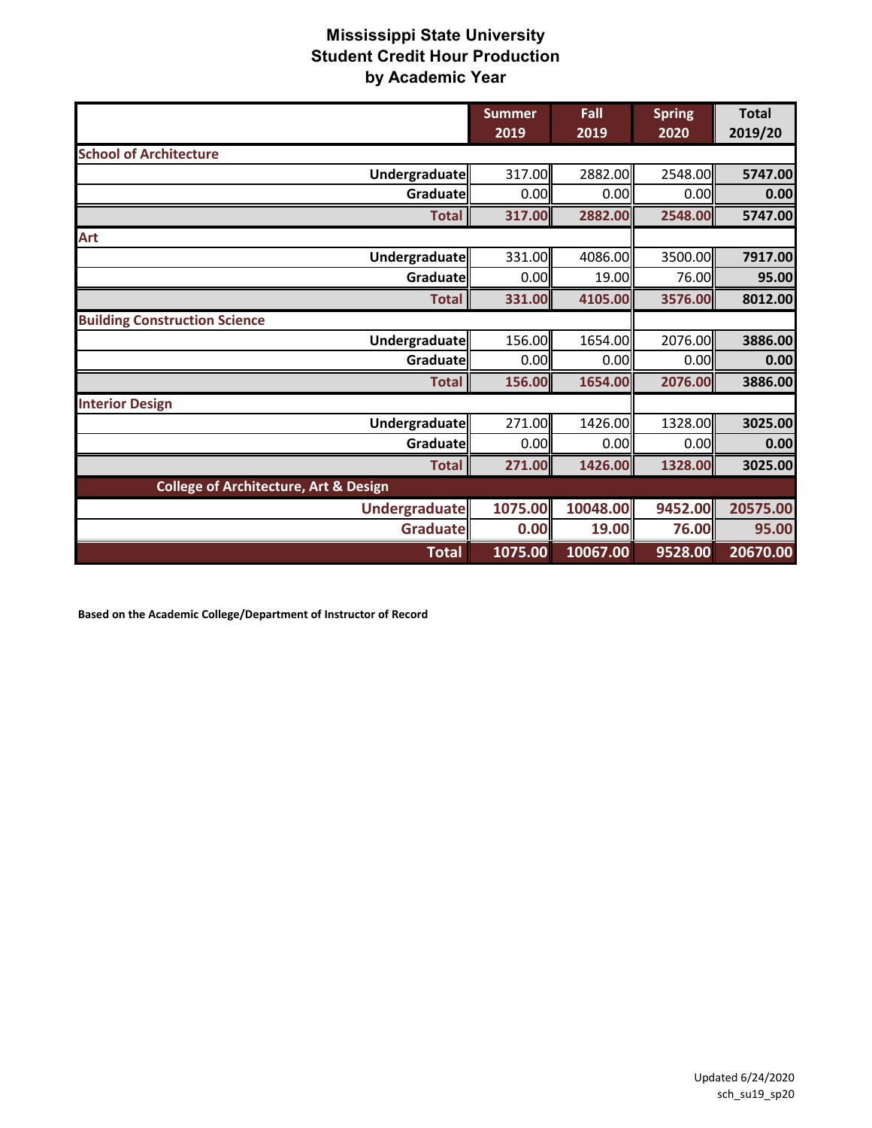|                                                  | <b>Summer</b><br>2019 | Fall<br>2019 | <b>Spring</b><br>2020 | <b>Total</b><br>2019/20 |
|--------------------------------------------------|-----------------------|--------------|-----------------------|-------------------------|
| <b>School of Architecture</b>                    |                       |              |                       |                         |
| Undergraduate                                    | 317.00                | 2882.00      | 2548.00               | 5747.00                 |
| Graduate                                         | 0.00                  | 0.00         | 0.00                  | 0.00                    |
| <b>Total</b>                                     | 317.00                | 2882.00      | 2548.00               | 5747.00                 |
| <b>Art</b>                                       |                       |              |                       |                         |
| Undergraduate                                    | 331.00                | 4086.00      | 3500.00               | 7917.00                 |
| Graduate                                         | 0.00                  | 19.00        | 76.00                 | 95.00                   |
| <b>Total</b>                                     | 331.00                | 4105.00      | 3576.00               | 8012.00                 |
| <b>Building Construction Science</b>             |                       |              |                       |                         |
| Undergraduate                                    | 156.00                | 1654.00      | 2076.00               | 3886.00                 |
| Graduatel                                        | 0.00                  | 0.00         | 0.00                  | 0.00                    |
| <b>Total</b>                                     | 156.00                | 1654.00      | 2076.00               | 3886.00                 |
| <b>Interior Design</b>                           |                       |              |                       |                         |
| Undergraduate                                    | 271.00                | 1426.00      | 1328.00               | 3025.00                 |
| Graduate                                         | 0.00                  | 0.00         | 0.00                  | 0.00                    |
| <b>Total</b>                                     | 271.00                | 1426.00      | 1328.00               | 3025.00                 |
| <b>College of Architecture, Art &amp; Design</b> |                       |              |                       |                         |
| Undergraduate                                    | 1075.00               | 10048.00     | 9452.00               | 20575.00                |
| Graduate                                         | 0.00                  | 19.00        | 76.00                 | 95.00                   |
| <b>Total</b>                                     | 1075.00               | 10067.00     | 9528.00               | 20670.00                |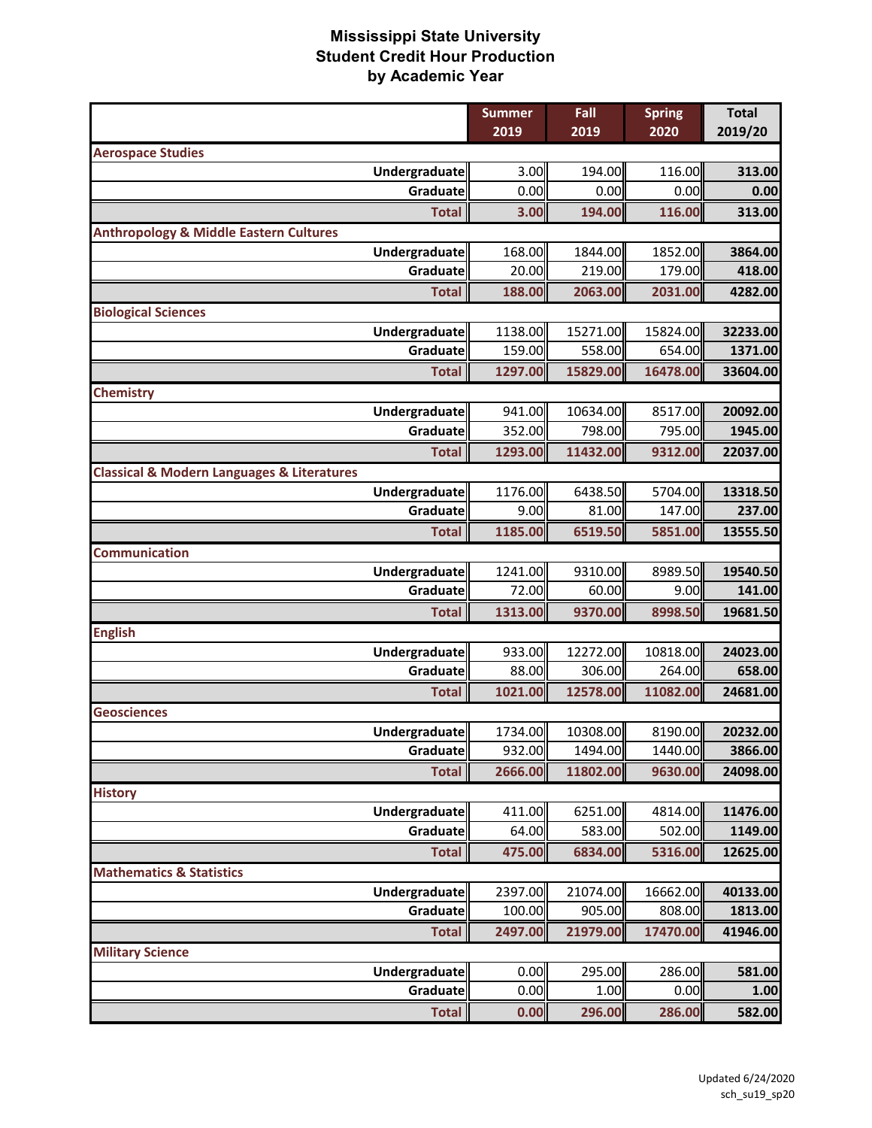|                                                           | <b>Summer</b>    | Fall             | <b>Spring</b>     | <b>Total</b>       |
|-----------------------------------------------------------|------------------|------------------|-------------------|--------------------|
|                                                           | 2019             | 2019             | 2020              | 2019/20            |
| <b>Aerospace Studies</b>                                  |                  |                  |                   |                    |
| <b>Undergraduate</b>                                      | 3.00             | 194.00           | 116.00            | 313.00             |
| Graduate                                                  | 0.00             | 0.00             | 0.00              | 0.00               |
| <b>Total</b>                                              | 3.00             | 194.00           | 116.00            | 313.00             |
| <b>Anthropology &amp; Middle Eastern Cultures</b>         |                  |                  |                   |                    |
| Undergraduate                                             | 168.00           | 1844.00          | 1852.00           | 3864.00            |
| Graduate                                                  | 20.00            | 219.00           | 179.00            | 418.00             |
| <b>Total</b>                                              | 188.00           | 2063.00          | 2031.00           | 4282.00            |
| <b>Biological Sciences</b>                                |                  |                  |                   |                    |
| Undergraduate                                             | 1138.00          | 15271.00         | 15824.00          | 32233.00           |
| Graduate                                                  | 159.00           | 558.00           | 654.00            | 1371.00            |
| <b>Total</b>                                              | 1297.00          | 15829.00         | 16478.00          | 33604.00           |
| <b>Chemistry</b>                                          |                  |                  |                   |                    |
| <b>Undergraduate</b>                                      | 941.00           | 10634.00         | 8517.00           | 20092.00           |
| Graduate                                                  | 352.00           | 798.00           | 795.00            | 1945.00            |
| <b>Total</b>                                              | 1293.00          | 11432.00         | 9312.00           | 22037.00           |
| <b>Classical &amp; Modern Languages &amp; Literatures</b> |                  |                  |                   |                    |
| <b>Undergraduate</b><br>Graduate                          | 1176.00<br>9.00  | 6438.50<br>81.00 | 5704.00<br>147.00 | 13318.50<br>237.00 |
|                                                           |                  |                  |                   |                    |
| <b>Total</b>                                              | 1185.00          | 6519.50          | 5851.00           | 13555.50           |
| <b>Communication</b>                                      |                  |                  |                   |                    |
| Undergraduate<br>Graduate                                 | 1241.00<br>72.00 | 9310.00<br>60.00 | 8989.50<br>9.00   | 19540.50<br>141.00 |
|                                                           |                  |                  |                   |                    |
| <b>Total</b>                                              | 1313.00          | 9370.00          | 8998.50           | 19681.50           |
| <b>English</b><br>Undergraduate                           | 933.00           | 12272.00         | 10818.00          | 24023.00           |
| Graduate                                                  | 88.00            | 306.00           | 264.00            | 658.00             |
| <b>Total</b>                                              | 1021.00          | 12578.00         | 11082.00          | 24681.00           |
| <b>Geosciences</b>                                        |                  |                  |                   |                    |
| Undergraduate                                             | 1734.00          | 10308.00         | 8190.00           | 20232.00           |
| Graduate                                                  | 932.00           | 1494.00          | 1440.00           | 3866.00            |
| <b>Total</b>                                              | 2666.00          | 11802.00         | 9630.00           | 24098.00           |
| <b>History</b>                                            |                  |                  |                   |                    |
| Undergraduate                                             | 411.00           | 6251.00          | 4814.00           | 11476.00           |
| Graduate                                                  | 64.00            | 583.00           | 502.00            | 1149.00            |
| <b>Total</b>                                              | 475.00           | 6834.00          | 5316.00           | 12625.00           |
| <b>Mathematics &amp; Statistics</b>                       |                  |                  |                   |                    |
| Undergraduate                                             | 2397.00          | 21074.00         | 16662.00          | 40133.00           |
| Graduate                                                  | 100.00           | 905.00           | 808.00            | 1813.00            |
| <b>Total</b>                                              | 2497.00          | 21979.00         | 17470.00          | 41946.00           |
| <b>Military Science</b>                                   |                  |                  |                   |                    |
| Undergraduate                                             | 0.00             | 295.00           | 286.00            | 581.00             |
| Graduate                                                  | 0.00             | 1.00             | 0.00              | 1.00               |
| <b>Total</b>                                              | 0.00             | 296.00           | 286.00            | 582.00             |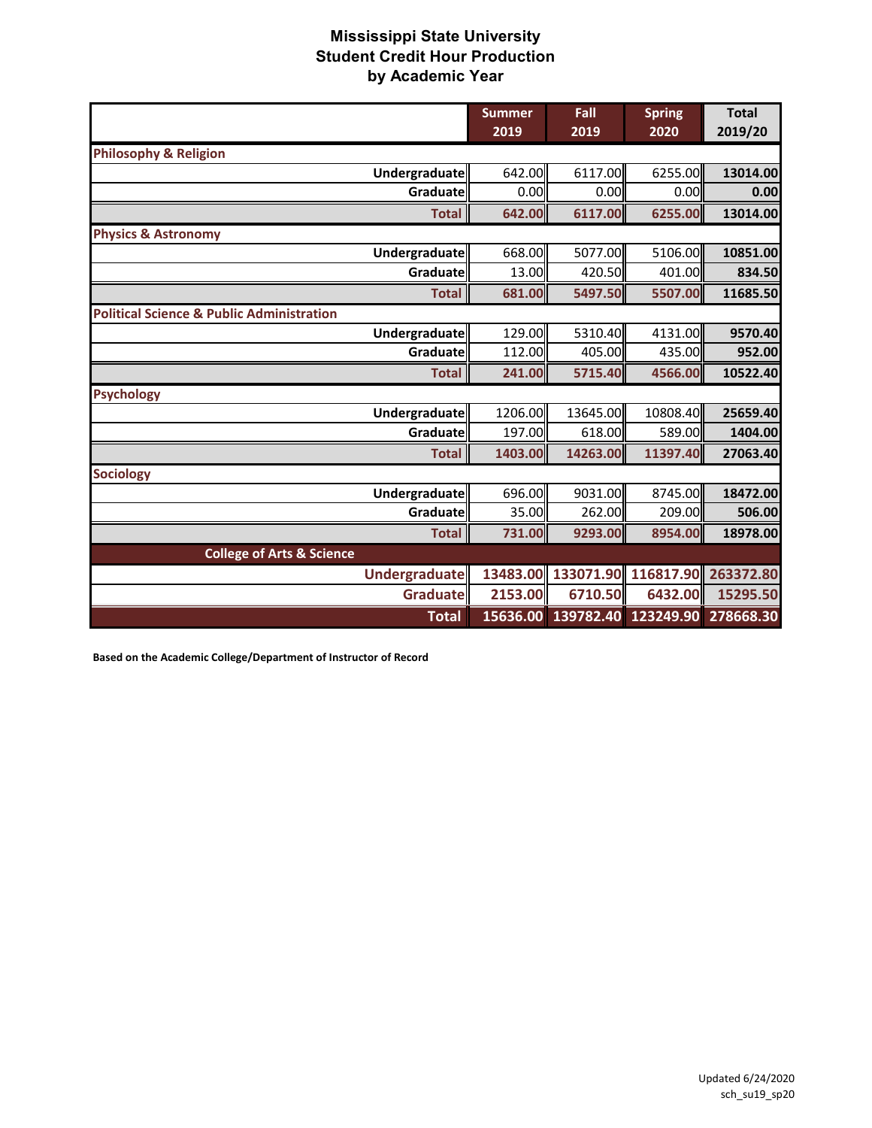|                                                      | <b>Summer</b><br>2019 | Fall<br>2019 | <b>Spring</b><br>2020 | <b>Total</b><br>2019/20 |
|------------------------------------------------------|-----------------------|--------------|-----------------------|-------------------------|
| <b>Philosophy &amp; Religion</b>                     |                       |              |                       |                         |
| <b>Undergraduate</b>                                 | 642.00                | 6117.00      | 6255.00               | 13014.00                |
| Graduate                                             | 0.00                  | 0.00         | 0.00                  | 0.00                    |
| <b>Total</b>                                         | 642.00                | 6117.00      | 6255.00               | 13014.00                |
| <b>Physics &amp; Astronomy</b>                       |                       |              |                       |                         |
| <b>Undergraduate</b>                                 | 668.00                | 5077.00      | 5106.00               | 10851.00                |
| Graduate                                             | 13.00                 | 420.50       | 401.00                | 834.50                  |
| <b>Total</b>                                         | 681.00                | 5497.50      | 5507.00               | 11685.50                |
| <b>Political Science &amp; Public Administration</b> |                       |              |                       |                         |
| Undergraduate                                        | 129.00                | 5310.40      | 4131.00               | 9570.40                 |
| Graduate                                             | 112.00                | 405.00       | 435.00                | 952.00                  |
| <b>Total</b>                                         | 241.00                | 5715.40      | 4566.00               | 10522.40                |
| <b>Psychology</b>                                    |                       |              |                       |                         |
| <b>Undergraduate</b>                                 | 1206.00               | 13645.00     | 10808.40              | 25659.40                |
| Graduate                                             | 197.00                | 618.00       | 589.00                | 1404.00                 |
| <b>Total</b>                                         | 1403.00               | 14263.00     | 11397.40              | 27063.40                |
| <b>Sociology</b>                                     |                       |              |                       |                         |
| <b>Undergraduate</b>                                 | 696.00                | 9031.00      | 8745.00               | 18472.00                |
| Graduatell                                           | 35.00                 | 262.00       | 209.00                | 506.00                  |
| <b>Total</b>                                         | 731.00                | 9293.00      | 8954.00               | 18978.00                |
| <b>College of Arts &amp; Science</b>                 |                       |              |                       |                         |
| <b>Undergraduate</b>                                 | 13483.00              | 133071.90    | 116817.90             | 263372.80               |
| Graduate                                             | 2153.00               | 6710.50      | 6432.00               | 15295.50                |
| <b>Total</b>                                         | 15636.00              | 139782.40    | 123249.90             | 278668.30               |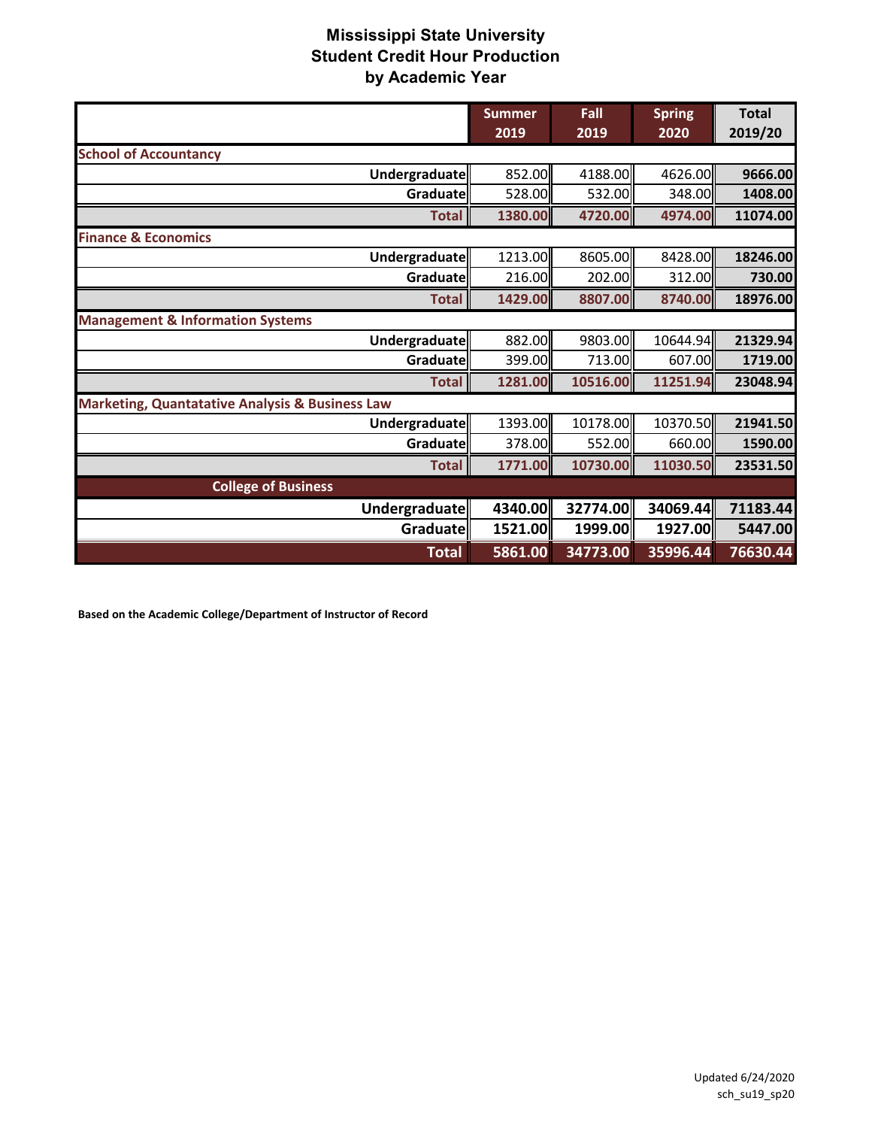|                                                            | <b>Summer</b><br>2019 | Fall<br>2019 | <b>Spring</b><br>2020 | <b>Total</b><br>2019/20 |
|------------------------------------------------------------|-----------------------|--------------|-----------------------|-------------------------|
| <b>School of Accountancy</b>                               |                       |              |                       |                         |
| Undergraduate                                              | 852.00                | 4188.00      | 4626.00               | 9666.00                 |
| Graduate                                                   | 528.00                | 532.00       | 348.00                | 1408.00                 |
| <b>Total</b>                                               | 1380.00               | 4720.00      | 4974.00               | 11074.00                |
| <b>Finance &amp; Economics</b>                             |                       |              |                       |                         |
| Undergraduate                                              | 1213.00               | 8605.00      | 8428.00               | 18246.00                |
| Graduate                                                   | 216.00                | 202.00       | 312.00                | 730.00                  |
| <b>Total</b>                                               | 1429.00               | 8807.00      | 8740.00               | 18976.00                |
| <b>Management &amp; Information Systems</b>                |                       |              |                       |                         |
| Undergraduate                                              | 882.00                | 9803.00      | 10644.94              | 21329.94                |
| Graduate                                                   | 399.00                | 713.00       | 607.00                | 1719.00                 |
| <b>Total</b>                                               | 1281.00               | 10516.00     | 11251.94              | 23048.94                |
| <b>Marketing, Quantatative Analysis &amp; Business Law</b> |                       |              |                       |                         |
| Undergraduate                                              | 1393.00               | 10178.00     | 10370.50              | 21941.50                |
| Graduate                                                   | 378.00                | 552.00       | 660.00                | 1590.00                 |
| <b>Total</b>                                               | 1771.00               | 10730.00     | 11030.50              | 23531.50                |
| <b>College of Business</b>                                 |                       |              |                       |                         |
| Undergraduate                                              | 4340.00               | 32774.00     | 34069.44              | 71183.44                |
| Graduate                                                   | 1521.00               | 1999.00      | 1927.00               | 5447.00                 |
| <b>Total</b>                                               | 5861.00               | 34773.00     | 35996.44              | 76630.44                |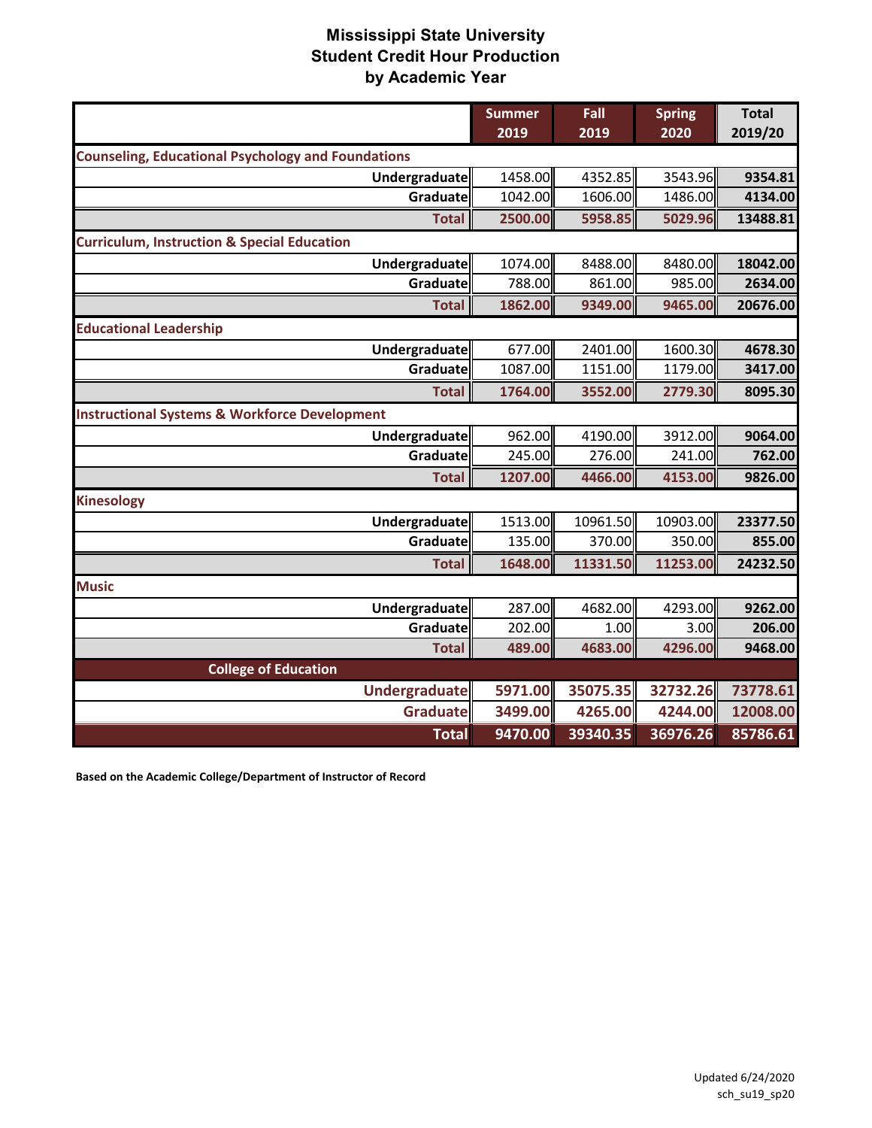|                                                           | <b>Summer</b> | Fall     | <b>Spring</b><br>2020 | <b>Total</b><br>2019/20 |
|-----------------------------------------------------------|---------------|----------|-----------------------|-------------------------|
|                                                           | 2019          | 2019     |                       |                         |
| <b>Counseling, Educational Psychology and Foundations</b> |               |          |                       |                         |
| Undergraduate                                             | 1458.00       | 4352.85  | 3543.96               | 9354.81                 |
| Graduate                                                  | 1042.00       | 1606.00  | 1486.00               | 4134.00                 |
| <b>Total</b>                                              | 2500.00       | 5958.85  | 5029.96               | 13488.81                |
| <b>Curriculum, Instruction &amp; Special Education</b>    |               |          |                       |                         |
| Undergraduate                                             | 1074.00       | 8488.00  | 8480.00               | 18042.00                |
| Graduate                                                  | 788.00        | 861.00   | 985.00                | 2634.00                 |
| <b>Total</b>                                              | 1862.00       | 9349.00  | 9465.00               | 20676.00                |
| <b>Educational Leadership</b>                             |               |          |                       |                         |
| Undergraduate                                             | 677.00        | 2401.00  | 1600.30               | 4678.30                 |
| Graduate                                                  | 1087.00       | 1151.00  | 1179.00               | 3417.00                 |
| <b>Total</b>                                              | 1764.00       | 3552.00  | 2779.30               | 8095.30                 |
| <b>Instructional Systems &amp; Workforce Development</b>  |               |          |                       |                         |
| Undergraduate                                             | 962.00        | 4190.00  | 3912.00               | 9064.00                 |
| Graduate                                                  | 245.00        | 276.00   | 241.00                | 762.00                  |
| <b>Total</b>                                              | 1207.00       | 4466.00  | 4153.00               | 9826.00                 |
| <b>Kinesology</b>                                         |               |          |                       |                         |
| Undergraduate                                             | 1513.00       | 10961.50 | 10903.00              | 23377.50                |
| Graduate                                                  | 135.00        | 370.00   | 350.00                | 855.00                  |
| <b>Total</b>                                              | 1648.00       | 11331.50 | 11253.00              | 24232.50                |
| <b>Music</b>                                              |               |          |                       |                         |
| Undergraduate                                             | 287.00        | 4682.00  | 4293.00               | 9262.00                 |
| Graduate                                                  | 202.00        | 1.00     | 3.00                  | 206.00                  |
| <b>Total</b>                                              | 489.00        | 4683.00  | 4296.00               | 9468.00                 |
| <b>College of Education</b>                               |               |          |                       |                         |
| <b>Undergraduate</b>                                      | 5971.00       | 35075.35 | 32732.26              | 73778.61                |
| <b>Graduate</b>                                           | 3499.00       | 4265.00  | 4244.00               | 12008.00                |
| <b>Total</b>                                              | 9470.00       | 39340.35 | 36976.26              | 85786.61                |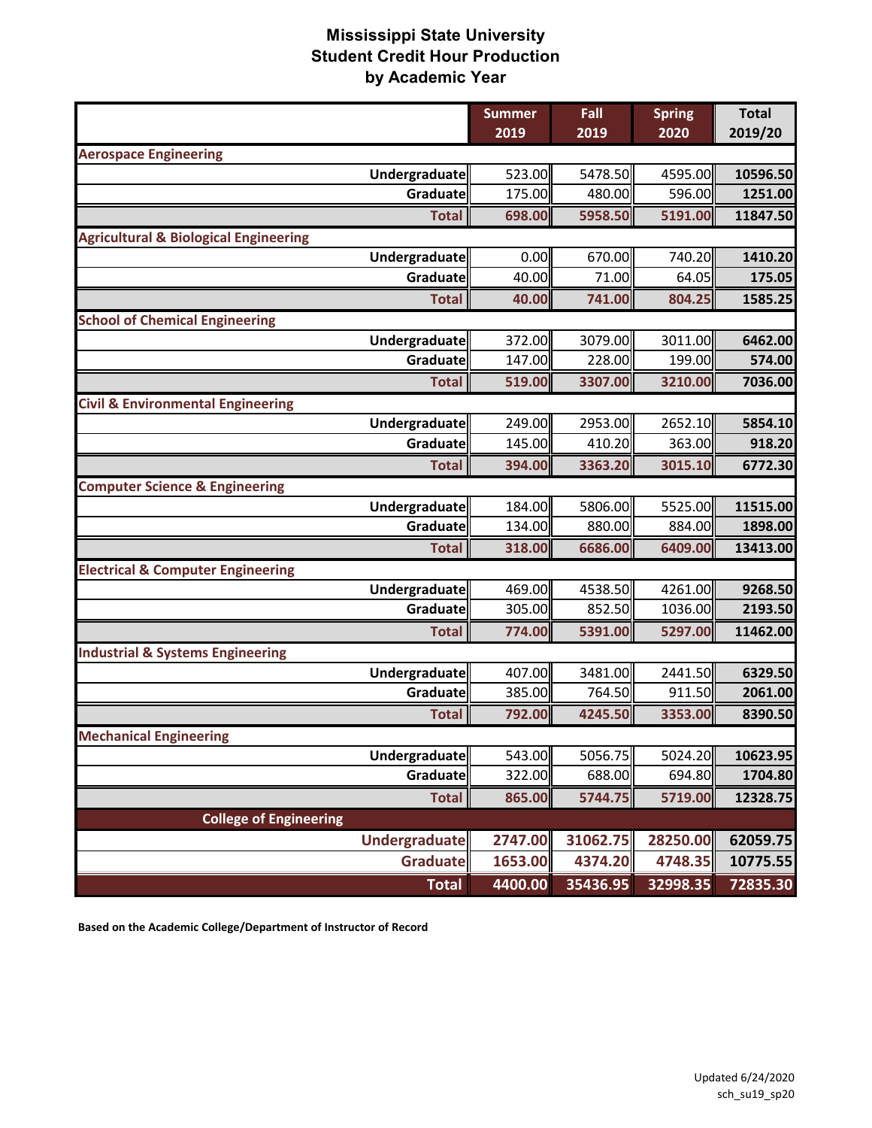|                                                  | <b>Summer</b> | Fall     | <b>Spring</b> | <b>Total</b> |
|--------------------------------------------------|---------------|----------|---------------|--------------|
|                                                  | 2019          | 2019     | 2020          | 2019/20      |
| <b>Aerospace Engineering</b>                     |               |          |               |              |
| Undergraduate                                    | 523.00        | 5478.50  | 4595.00       | 10596.50     |
| Graduate                                         | 175.00        | 480.00   | 596.00        | 1251.00      |
| <b>Total</b>                                     | 698.00        | 5958.50  | 5191.00       | 11847.50     |
| <b>Agricultural &amp; Biological Engineering</b> |               |          |               |              |
| Undergraduate                                    | 0.00          | 670.00   | 740.20        | 1410.20      |
| Graduate                                         | 40.00         | 71.00    | 64.05         | 175.05       |
| <b>Total</b>                                     | 40.00         | 741.00   | 804.25        | 1585.25      |
| <b>School of Chemical Engineering</b>            |               |          |               |              |
| Undergraduate                                    | 372.00        | 3079.00  | 3011.00       | 6462.00      |
| Graduate                                         | 147.00        | 228.00   | 199.00        | 574.00       |
| <b>Total</b>                                     | 519.00        | 3307.00  | 3210.00       | 7036.00      |
| <b>Civil &amp; Environmental Engineering</b>     |               |          |               |              |
| Undergraduate                                    | 249.00        | 2953.00  | 2652.10       | 5854.10      |
| Graduate                                         | 145.00        | 410.20   | 363.00        | 918.20       |
| <b>Total</b>                                     | 394.00        | 3363.20  | 3015.10       | 6772.30      |
| <b>Computer Science &amp; Engineering</b>        |               |          |               |              |
| Undergraduate                                    | 184.00        | 5806.00  | 5525.00       | 11515.00     |
| Graduate                                         | 134.00        | 880.00   | 884.00        | 1898.00      |
| <b>Total</b>                                     | 318.00        | 6686.00  | 6409.00       | 13413.00     |
| <b>Electrical &amp; Computer Engineering</b>     |               |          |               |              |
| Undergraduate                                    | 469.00        | 4538.50  | 4261.00       | 9268.50      |
| <b>Graduate</b>                                  | 305.00        | 852.50   | 1036.00       | 2193.50      |
| <b>Total</b>                                     | 774.00        | 5391.00  | 5297.00       | 11462.00     |
| <b>Industrial &amp; Systems Engineering</b>      |               |          |               |              |
| Undergraduate                                    | 407.00        | 3481.00  | 2441.50       | 6329.50      |
| Graduate                                         | 385.00        | 764.50   | 911.50        | 2061.00      |
| <b>Total</b>                                     | 792.00        | 4245.50  | 3353.00       | 8390.50      |
| <b>Mechanical Engineering</b>                    |               |          |               |              |
| Undergraduate                                    | 543.00        | 5056.75  | 5024.20       | 10623.95     |
| Graduate                                         | 322.00        | 688.00   | 694.80        | 1704.80      |
| <b>Total</b>                                     | 865.00        | 5744.75  | 5719.00       | 12328.75     |
| <b>College of Engineering</b>                    |               |          |               |              |
| Undergraduate                                    | 2747.00       | 31062.75 | 28250.00      | 62059.75     |
| Graduate                                         | 1653.00       | 4374.20  | 4748.35       | 10775.55     |
| <b>Total</b>                                     | 4400.00       | 35436.95 | 32998.35      | 72835.30     |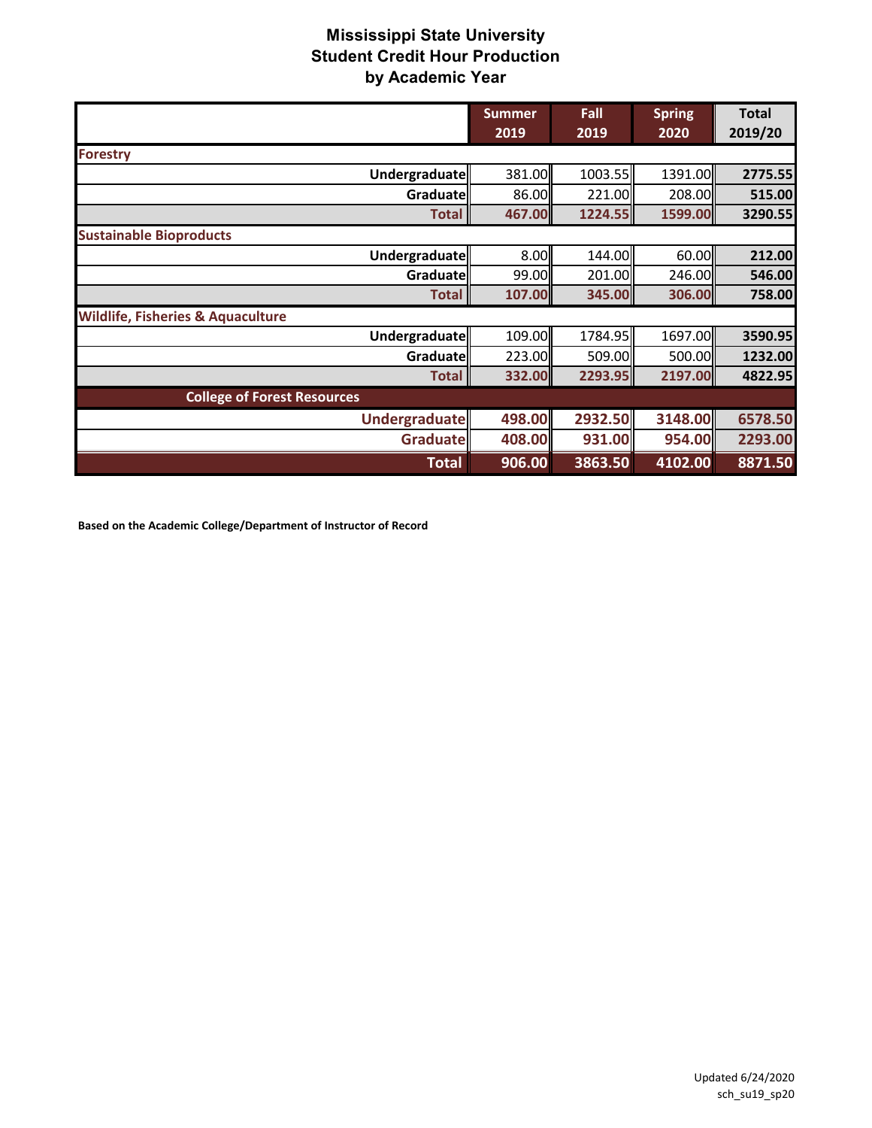|                                              | <b>Summer</b> | Fall    | <b>Spring</b> | <b>Total</b> |
|----------------------------------------------|---------------|---------|---------------|--------------|
|                                              | 2019          | 2019    | 2020          | 2019/20      |
| <b>Forestry</b>                              |               |         |               |              |
| Undergraduate                                | 381.00        | 1003.55 | 1391.00       | 2775.55      |
| Graduate                                     | 86.00         | 221.00  | 208.00        | 515.00       |
| <b>Total</b>                                 | 467.00        | 1224.55 | 1599.00       | 3290.55      |
| <b>Sustainable Bioproducts</b>               |               |         |               |              |
| Undergraduate                                | 8.00          | 144.00  | 60.00         | 212.00       |
| Graduate                                     | 99.00         | 201.00  | 246.00        | 546.00       |
| <b>Total</b>                                 | 107.00        | 345.00  | 306.00        | 758.00       |
| <b>Wildlife, Fisheries &amp; Aquaculture</b> |               |         |               |              |
| Undergraduate                                | 109.00        | 1784.95 | 1697.00       | 3590.95      |
| Graduate                                     | 223.00        | 509.00  | 500.00        | 1232.00      |
| <b>Total</b>                                 | 332.00        | 2293.95 | 2197.00       | 4822.95      |
| <b>College of Forest Resources</b>           |               |         |               |              |
| <b>Undergraduate</b>                         | 498.00        | 2932.50 | 3148.00       | 6578.50      |
| <b>Graduate</b>                              | 408.00        | 931.00  | 954.00        | 2293.00      |
| <b>Total</b>                                 | 906.00        | 3863.50 | 4102.00       | 8871.50      |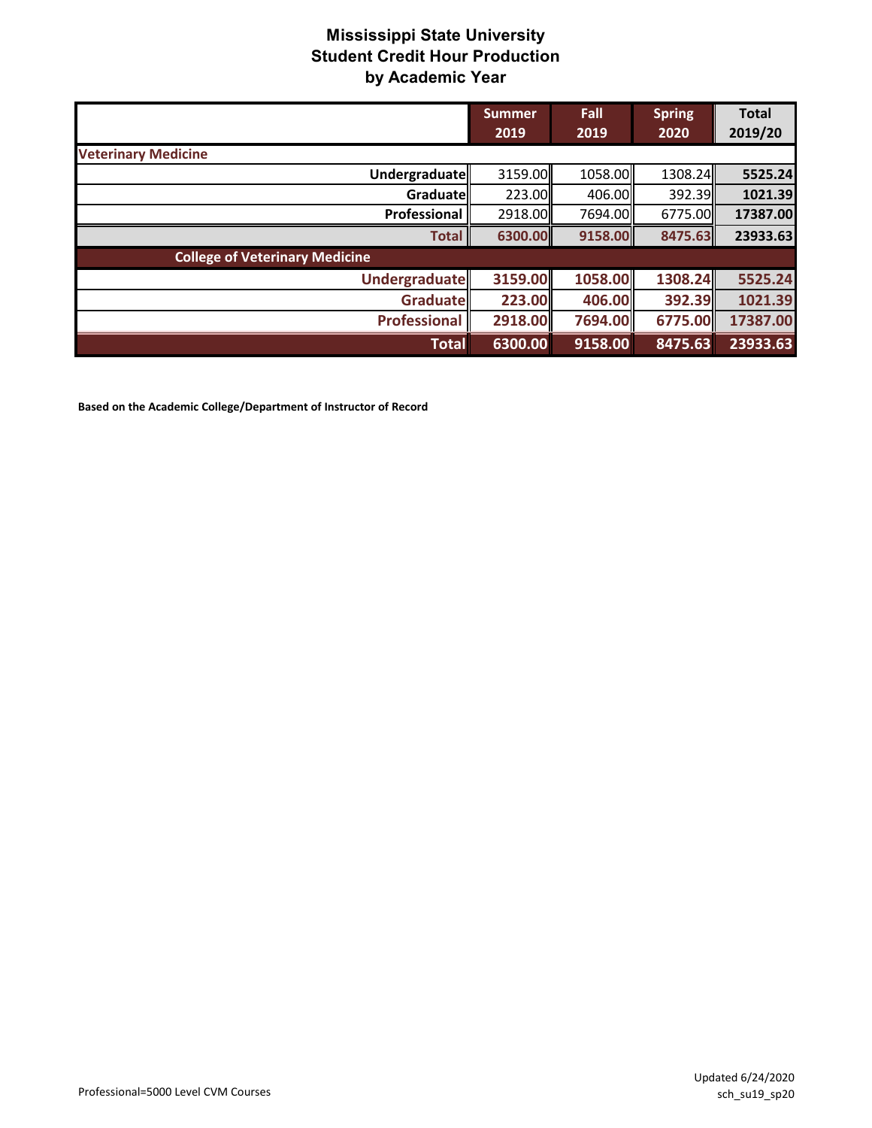|                                       | <b>Summer</b><br>2019 | Fall<br>2019 | <b>Spring</b><br>2020 | <b>Total</b><br>2019/20 |
|---------------------------------------|-----------------------|--------------|-----------------------|-------------------------|
| <b>Veterinary Medicine</b>            |                       |              |                       |                         |
| Undergraduate                         | 3159.00               | 1058.00      | 1308.24               | 5525.24                 |
| Graduatel                             | 223.00                | 406.00       | 392.39                | 1021.39                 |
| Professional                          | 2918.00               | 7694.00      | 6775.00               | 17387.00                |
| <b>Total</b>                          | 6300.00               | 9158.00      | 8475.63               | 23933.63                |
| <b>College of Veterinary Medicine</b> |                       |              |                       |                         |
| <b>Undergraduate</b>                  | 3159.00               | 1058.00      | 1308.24               | 5525.24                 |
| Graduate                              | 223.00                | 406.00       | 392.39                | 1021.39                 |
| <b>Professional</b>                   | 2918.00               | 7694.00      | 6775.00               | 17387.00                |
| <b>Total</b>                          | 6300.00               | 9158.00      | 8475.63               | 23933.63                |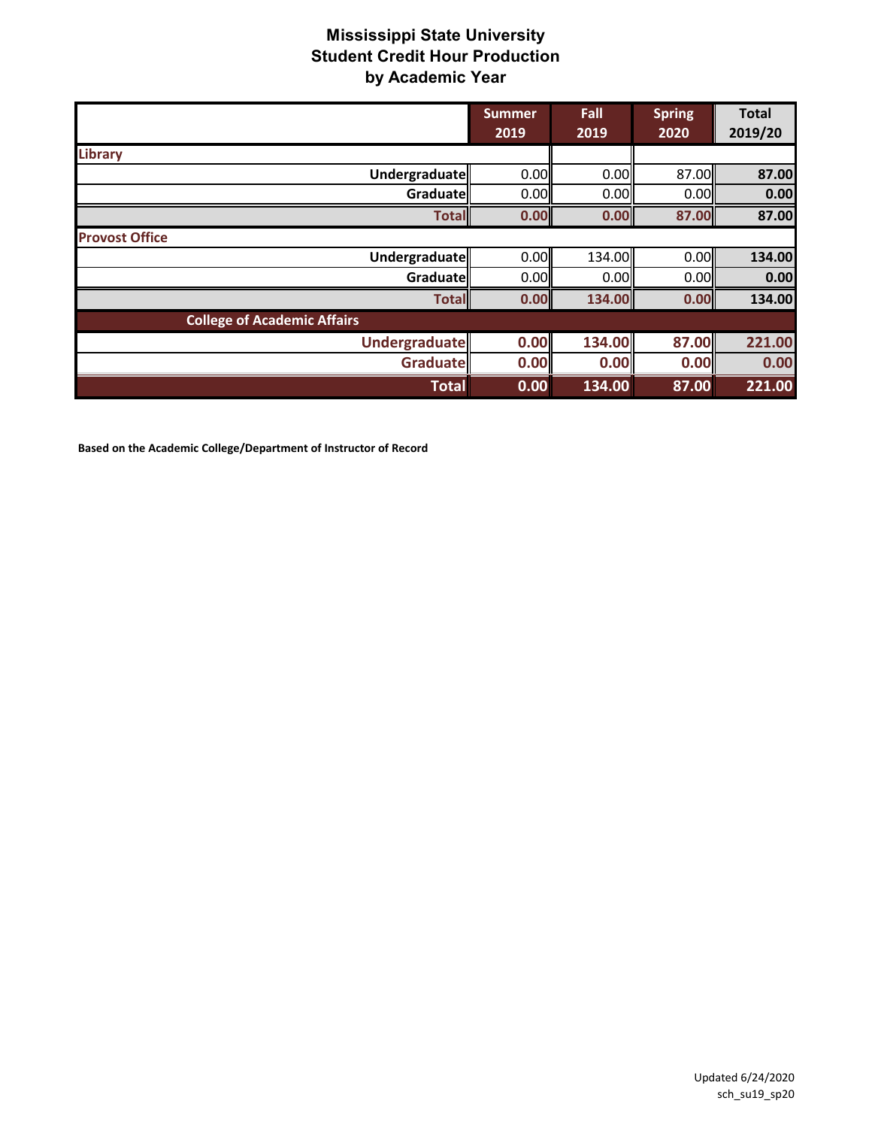|                                    | <b>Summer</b><br>2019 | Fall<br>2019 | <b>Spring</b><br>2020 | <b>Total</b><br>2019/20 |
|------------------------------------|-----------------------|--------------|-----------------------|-------------------------|
| <b>Library</b>                     |                       |              |                       |                         |
| Undergraduate                      | 0.00                  | 0.00         | 87.00                 | 87.00                   |
| Graduate                           | 0.00                  | 0.00         | 0.00                  | 0.00                    |
| <b>Total</b>                       | 0.00                  | 0.00         | 87.00                 | 87.00                   |
| <b>Provost Office</b>              |                       |              |                       |                         |
| Undergraduate                      | 0.00                  | 134.00       | 0.00                  | 134.00                  |
| Graduate                           | 0.00                  | 0.00         | 0.00                  | 0.00                    |
| <b>Total</b>                       | 0.00                  | 134.00       | 0.00                  | 134.00                  |
| <b>College of Academic Affairs</b> |                       |              |                       |                         |
| <b>Undergraduate</b>               | 0.00                  | 134.00       | 87.00                 | 221.00                  |
| Graduate                           | 0.00                  | 0.00         | 0.00                  | 0.00                    |
| <b>Total</b>                       | 0.00                  | 134.00       | 87.00                 | 221.00                  |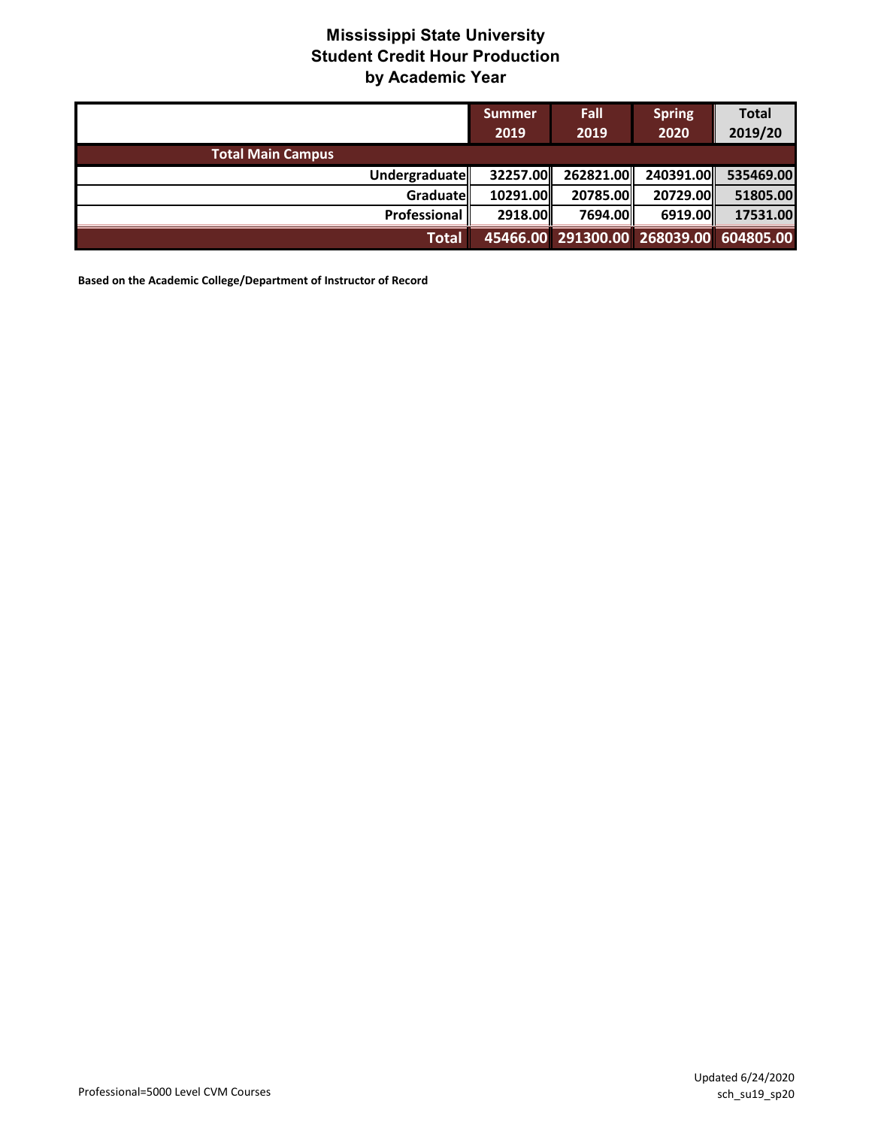|                          | Summer<br>2019 | <b>Fall</b><br>2019                    | <b>Spring</b><br>2020 | <b>Total</b><br>2019/20 |
|--------------------------|----------------|----------------------------------------|-----------------------|-------------------------|
| <b>Total Main Campus</b> |                |                                        |                       |                         |
| Undergraduate            | 32257.00       | 262821.00                              | 240391.00             | 535469.00               |
| <b>Graduate</b>          | 10291.00       | 20785.00                               | 20729.00              | 51805.00                |
| Professional             | 2918.00        | 7694.00L                               | 6919.00               | 17531.00                |
| Total                    |                | 45466.00 291300.00 268039.00 604805.00 |                       |                         |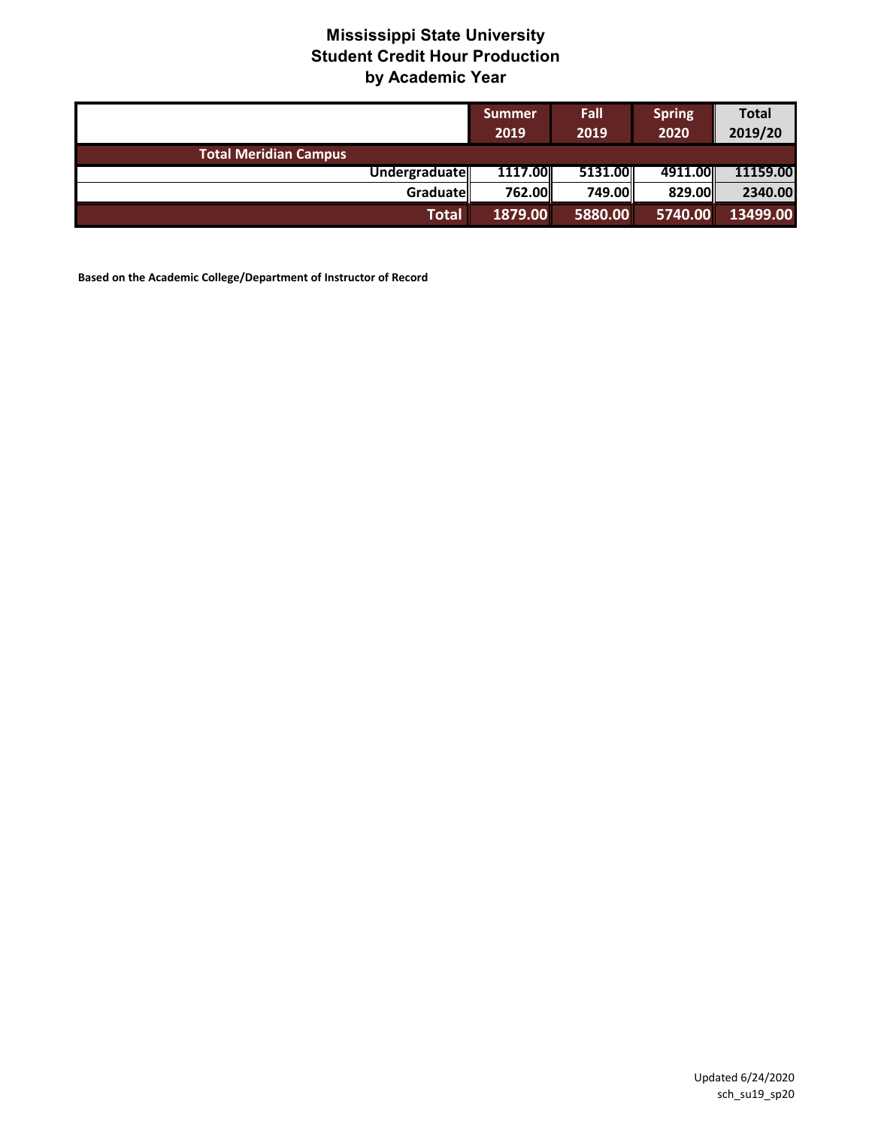|                              | Summer<br>2019 | <b>Fall</b><br>2019 | <b>Spring</b><br>2020 | <b>Total</b><br>2019/20 |
|------------------------------|----------------|---------------------|-----------------------|-------------------------|
| <b>Total Meridian Campus</b> |                |                     |                       |                         |
| Undergraduate                | 1117.00        | 5131.00             | 4911.00L              | 11159.00                |
| <b>Graduate</b>              | 762.00         | 749.00              | 829.00                | 2340.00                 |
| <b>Total</b>                 | 1879.00        | 5880.00             | 5740.00               | 13499.00                |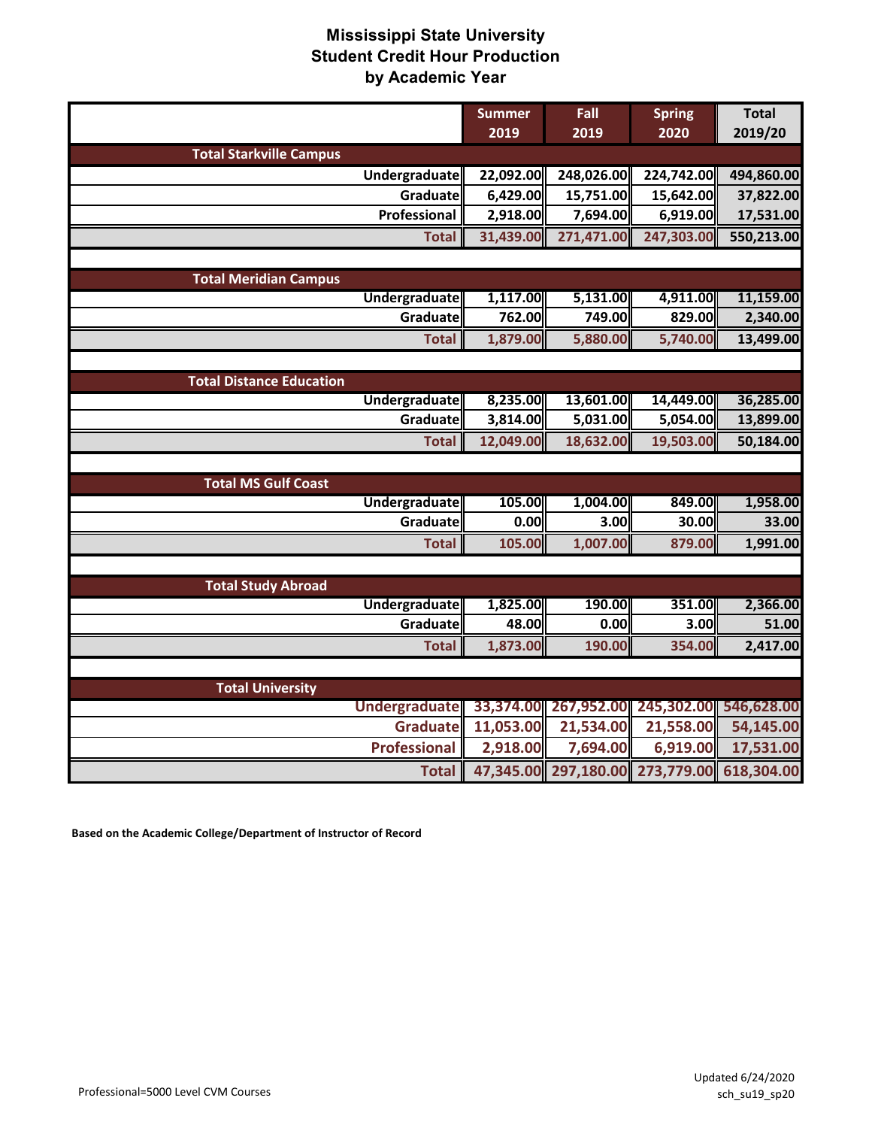|                                 |                     | <b>Summer</b> | Fall       | <b>Spring</b>                    | <b>Total</b> |
|---------------------------------|---------------------|---------------|------------|----------------------------------|--------------|
|                                 |                     | 2019          | 2019       | 2020                             | 2019/20      |
| <b>Total Starkville Campus</b>  |                     |               |            |                                  |              |
|                                 | Undergraduate       | 22,092.00     | 248,026.00 | 224,742.00                       | 494,860.00   |
|                                 | Graduate            | 6,429.00      | 15,751.00  | 15,642.00                        | 37,822.00    |
|                                 | Professional        | 2,918.00      | 7,694.00   | 6,919.00                         | 17,531.00    |
|                                 | <b>Total</b>        | 31,439.00     | 271,471.00 | 247,303.00                       | 550,213.00   |
|                                 |                     |               |            |                                  |              |
| <b>Total Meridian Campus</b>    |                     |               |            |                                  |              |
|                                 | Undergraduate       | 1,117.00      | 5,131.00   | 4,911.00                         | 11,159.00    |
|                                 | Graduate            | 762.00        | 749.00     | 829.00                           | 2,340.00     |
|                                 | <b>Total</b>        | 1,879.00      | 5,880.00   | 5,740.00                         | 13,499.00    |
|                                 |                     |               |            |                                  |              |
| <b>Total Distance Education</b> |                     |               |            |                                  |              |
|                                 | Undergraduate       | 8,235.00      | 13,601.00  | 14,449.00                        | 36,285.00    |
|                                 | Graduate            | 3,814.00      | 5,031.00   | 5,054.00                         | 13,899.00    |
|                                 | <b>Total</b>        | 12,049.00     | 18,632.00  | 19,503.00                        | 50,184.00    |
|                                 |                     |               |            |                                  |              |
| <b>Total MS Gulf Coast</b>      |                     |               |            |                                  |              |
|                                 | Undergraduate       | 105.00        | 1,004.00   | 849.00                           | 1,958.00     |
|                                 | Graduate            | 0.00          | 3.00       | 30.00                            | 33.00        |
|                                 | <b>Total</b>        | 105.00        | 1,007.00   | 879.00                           | 1,991.00     |
|                                 |                     |               |            |                                  |              |
| <b>Total Study Abroad</b>       |                     |               |            |                                  |              |
|                                 | Undergraduate       | 1,825.00      | 190.00     | 351.00                           | 2,366.00     |
|                                 | Graduate            | 48.00         | 0.00       | 3.00                             | 51.00        |
|                                 | <b>Total</b>        | 1,873.00      | 190.00     | 354.00                           | 2,417.00     |
|                                 |                     |               |            |                                  |              |
| <b>Total University</b>         |                     |               |            |                                  |              |
|                                 | Undergraduate       | 33,374.00     |            | 267,952.00 245,302.00 546,628.00 |              |
|                                 | <b>Graduate</b>     | 11,053.00     | 21,534.00  | 21,558.00                        | 54,145.00    |
|                                 | <b>Professional</b> | 2,918.00      | 7,694.00   | 6,919.00                         | 17,531.00    |
|                                 | <b>Total</b>        |               |            | 47,345.00 297,180.00 273,779.00  | 618,304.00   |